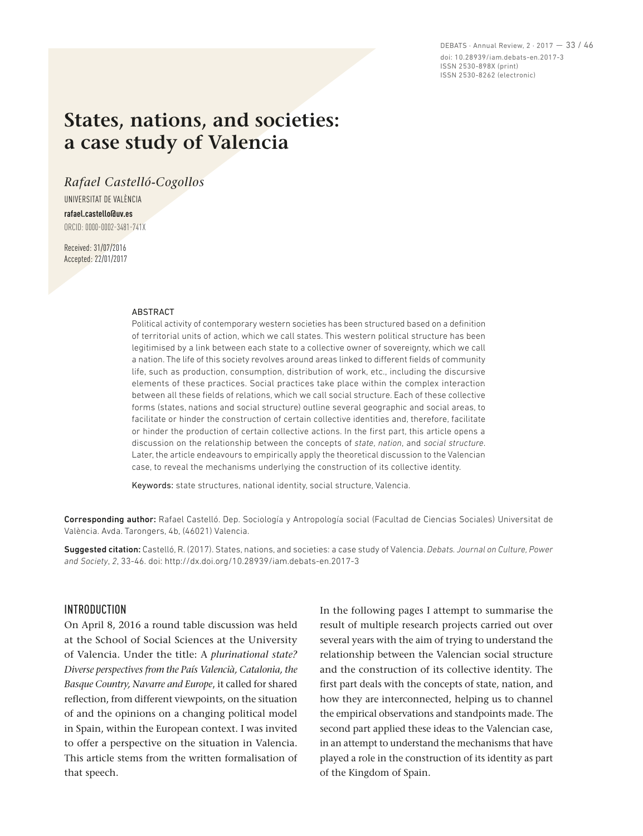DEBATS · Annual Review, 2 · 2017 — 33 / 46 doi: 10.28939/iam.debats-en.2017-3 ISSN 2530-898X (print) ISSN 2530-8262 (electronic)

# **States, nations, and societies: a case study of Valencia**

*Rafael Castelló‑Cogollos* 

UNIVERSITAT DE VALÈNCIA **rafael.castello@uv.es** ORCID: 0000‑0002‑3481‑741X

Received: 31/07/2016 Accepted: 22/01/2017

#### ABSTRACT

Political activity of contemporary western societies has been structured based on a definition of territorial units of action, which we call states. This western political structure has been legitimised by a link between each state to a collective owner of sovereignty, which we call a nation. The life of this society revolves around areas linked to different fields of community life, such as production, consumption, distribution of work, etc., including the discursive elements of these practices. Social practices take place within the complex interaction between all these fields of relations, which we call social structure. Each of these collective forms (states, nations and social structure) outline several geographic and social areas, to facilitate or hinder the construction of certain collective identities and, therefore, facilitate or hinder the production of certain collective actions. In the first part, this article opens a discussion on the relationship between the concepts of *state*, *nation*, and *social structure*. Later, the article endeavours to empirically apply the theoretical discussion to the Valencian case, to reveal the mechanisms underlying the construction of its collective identity.

Keywords: state structures, national identity, social structure, Valencia.

Corresponding author: Rafael Castelló. Dep. Sociología y Antropología social (Facultad de Ciencias Sociales) Universitat de València. Avda. Tarongers, 4b, (46021) Valencia.

Suggested citation: Castelló, R. (2017). States, nations, and societies: a case study of Valencia. *Debats. Journal on Culture, Power and Society*, *2*, 33‑46. doi: http://dx.doi.org/10.28939/iam.debats-en.2017-3

## INTRODUCTION

On April 8, 2016 a round table discussion was held at the School of Social Sciences at the University of Valencia. Under the title: A *plurinational state? Diverse perspectives from the País Valencià, Catalonia, the Basque Country, Navarre and Europe*, it called for shared reflection, from different viewpoints, on the situation of and the opinions on a changing political model in Spain, within the European context. I was invited to offer a perspective on the situation in Valencia. This article stems from the written formalisation of that speech.

In the following pages I attempt to summarise the result of multiple research projects carried out over several years with the aim of trying to understand the relationship between the Valencian social structure and the construction of its collective identity. The first part deals with the concepts of state, nation, and how they are interconnected, helping us to channel the empirical observations and standpoints made. The second part applied these ideas to the Valencian case, in an attempt to understand the mechanisms that have played a role in the construction of its identity as part of the Kingdom of Spain.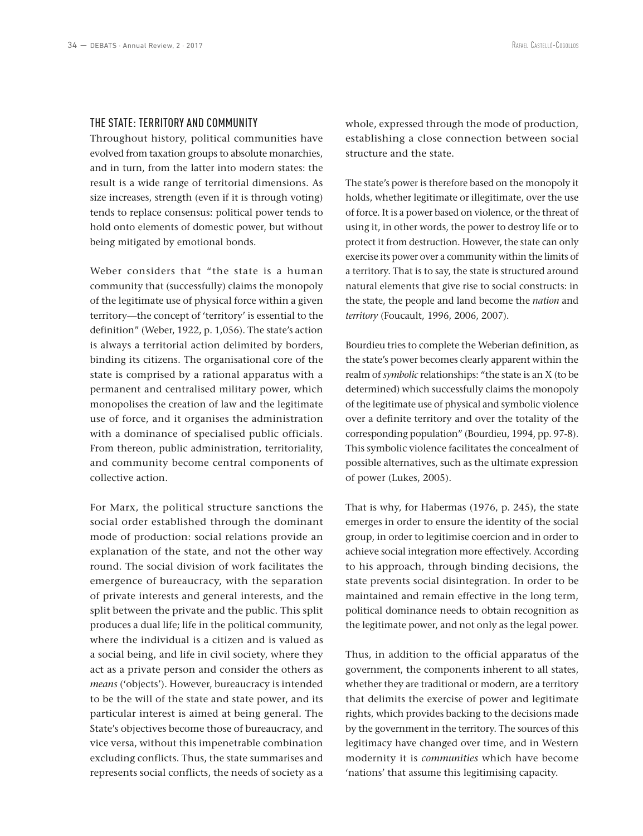## THE STATE: TERRITORY AND COMMUNITY

Throughout history, political communities have evolved from taxation groups to absolute monarchies, and in turn, from the latter into modern states: the result is a wide range of territorial dimensions. As size increases, strength (even if it is through voting) tends to replace consensus: political power tends to hold onto elements of domestic power, but without being mitigated by emotional bonds.

Weber considers that "the state is a human community that (successfully) claims the monopoly of the legitimate use of physical force within a given territory—the concept of 'territory' is essential to the definition" (Weber, 1922, p. 1,056). The state's action is always a territorial action delimited by borders, binding its citizens. The organisational core of the state is comprised by a rational apparatus with a permanent and centralised military power, which monopolises the creation of law and the legitimate use of force, and it organises the administration with a dominance of specialised public officials. From thereon, public administration, territoriality, and community become central components of collective action.

For Marx, the political structure sanctions the social order established through the dominant mode of production: social relations provide an explanation of the state, and not the other way round. The social division of work facilitates the emergence of bureaucracy, with the separation of private interests and general interests, and the split between the private and the public. This split produces a dual life; life in the political community, where the individual is a citizen and is valued as a social being, and life in civil society, where they act as a private person and consider the others as *means* ('objects'). However, bureaucracy is intended to be the will of the state and state power, and its particular interest is aimed at being general. The State's objectives become those of bureaucracy, and vice versa, without this impenetrable combination excluding conflicts. Thus, the state summarises and represents social conflicts, the needs of society as a

whole, expressed through the mode of production, establishing a close connection between social structure and the state.

The state's power is therefore based on the monopoly it holds, whether legitimate or illegitimate, over the use of force. It is a power based on violence, or the threat of using it, in other words, the power to destroy life or to protect it from destruction. However, the state can only exercise its power over a community within the limits of a territory. That is to say, the state is structured around natural elements that give rise to social constructs: in the state, the people and land become the *nation* and *territory* (Foucault, 1996, 2006, 2007).

Bourdieu tries to complete the Weberian definition, as the state's power becomes clearly apparent within the realm of *symbolic* relationships: "the state is an X (to be determined) which successfully claims the monopoly of the legitimate use of physical and symbolic violence over a definite territory and over the totality of the corresponding population" (Bourdieu, 1994, pp. 97‑8). This symbolic violence facilitates the concealment of possible alternatives, such as the ultimate expression of power (Lukes, 2005).

That is why, for Habermas (1976, p. 245), the state emerges in order to ensure the identity of the social group, in order to legitimise coercion and in order to achieve social integration more effectively. According to his approach, through binding decisions, the state prevents social disintegration. In order to be maintained and remain effective in the long term, political dominance needs to obtain recognition as the legitimate power, and not only as the legal power.

Thus, in addition to the official apparatus of the government, the components inherent to all states, whether they are traditional or modern, are a territory that delimits the exercise of power and legitimate rights, which provides backing to the decisions made by the government in the territory. The sources of this legitimacy have changed over time, and in Western modernity it is *communities* which have become 'nations' that assume this legitimising capacity.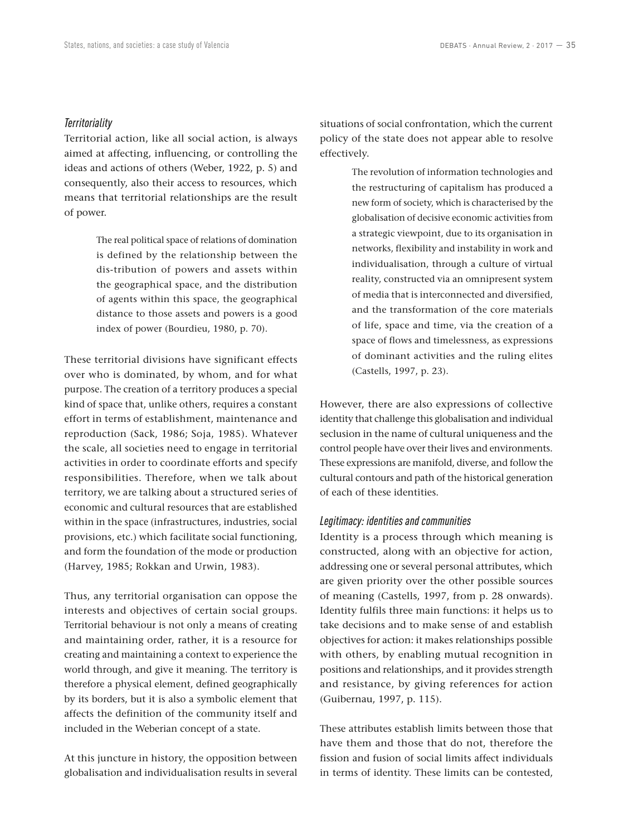## *Territoriality*

Territorial action, like all social action, is always aimed at affecting, influencing, or controlling the ideas and actions of others (Weber, 1922, p. 5) and consequently, also their access to resources, which means that territorial relationships are the result of power.

> The real political space of relations of domination is defined by the relationship between the dis-tribution of powers and assets within the geographical space, and the distribution of agents within this space, the geographical distance to those assets and powers is a good index of power (Bourdieu, 1980, p. 70).

These territorial divisions have significant effects over who is dominated, by whom, and for what purpose. The creation of a territory produces a special kind of space that, unlike others, requires a constant effort in terms of establishment, maintenance and reproduction (Sack, 1986; Soja, 1985). Whatever the scale, all societies need to engage in territorial activities in order to coordinate efforts and specify responsibilities. Therefore, when we talk about territory, we are talking about a structured series of economic and cultural resources that are established within in the space (infrastructures, industries, social provisions, etc.) which facilitate social functioning, and form the foundation of the mode or production (Harvey, 1985; Rokkan and Urwin, 1983).

Thus, any territorial organisation can oppose the interests and objectives of certain social groups. Territorial behaviour is not only a means of creating and maintaining order, rather, it is a resource for creating and maintaining a context to experience the world through, and give it meaning. The territory is therefore a physical element, defined geographically by its borders, but it is also a symbolic element that affects the definition of the community itself and included in the Weberian concept of a state.

At this juncture in history, the opposition between globalisation and individualisation results in several situations of social confrontation, which the current policy of the state does not appear able to resolve effectively.

> The revolution of information technologies and the restructuring of capitalism has produced a new form of society, which is characterised by the globalisation of decisive economic activities from a strategic viewpoint, due to its organisation in networks, flexibility and instability in work and individualisation, through a culture of virtual reality, constructed via an omnipresent system of media that is interconnected and diversified, and the transformation of the core materials of life, space and time, via the creation of a space of flows and timelessness, as expressions of dominant activities and the ruling elites (Castells, 1997, p. 23).

However, there are also expressions of collective identity that challenge this globalisation and individual seclusion in the name of cultural uniqueness and the control people have over their lives and environments. These expressions are manifold, diverse, and follow the cultural contours and path of the historical generation of each of these identities.

## *Legitimacy: identities and communities*

Identity is a process through which meaning is constructed, along with an objective for action, addressing one or several personal attributes, which are given priority over the other possible sources of meaning (Castells, 1997, from p. 28 onwards). Identity fulfils three main functions: it helps us to take decisions and to make sense of and establish objectives for action: it makes relationships possible with others, by enabling mutual recognition in positions and relationships, and it provides strength and resistance, by giving references for action (Guibernau, 1997, p. 115).

These attributes establish limits between those that have them and those that do not, therefore the fission and fusion of social limits affect individuals in terms of identity. These limits can be contested,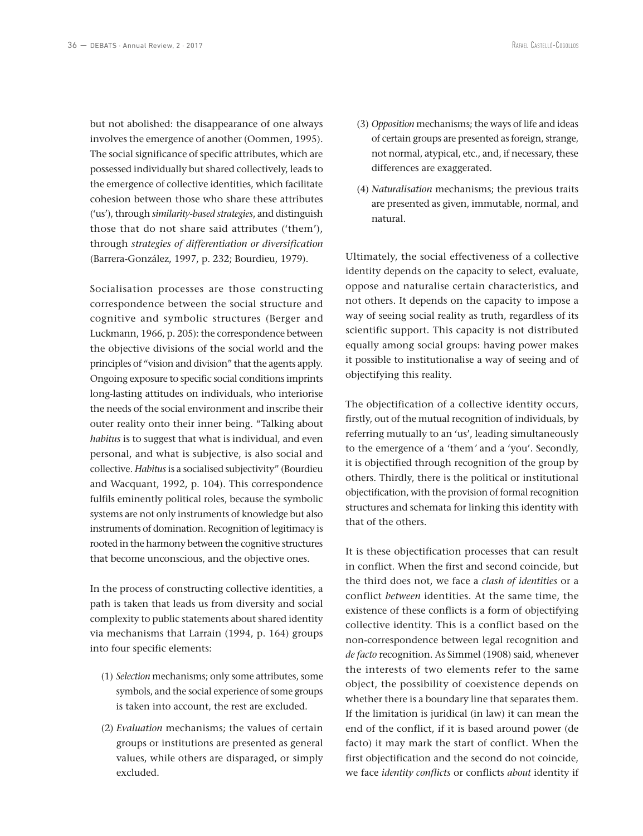but not abolished: the disappearance of one always involves the emergence of another (Oommen, 1995). The social significance of specific attributes, which are possessed individually but shared collectively, leads to the emergence of collective identities, which facilitate cohesion between those who share these attributes ('us'), through *similarity‑based strategies*, and distinguish those that do not share said attributes ('them'), through *strategies of differentiation or diversification* (Barrera‑González, 1997, p. 232; Bourdieu, 1979).

Socialisation processes are those constructing correspondence between the social structure and cognitive and symbolic structures (Berger and Luckmann, 1966, p. 205): the correspondence between the objective divisions of the social world and the principles of "vision and division" that the agents apply. Ongoing exposure to specific social conditions imprints long-lasting attitudes on individuals, who interiorise the needs of the social environment and inscribe their outer reality onto their inner being. "Talking about *habitus* is to suggest that what is individual, and even personal, and what is subjective, is also social and collective. *Habitus* is a socialised subjectivity" (Bourdieu and Wacquant, 1992, p. 104). This correspondence fulfils eminently political roles, because the symbolic systems are not only instruments of knowledge but also instruments of domination. Recognition of legitimacy is rooted in the harmony between the cognitive structures that become unconscious, and the objective ones.

In the process of constructing collective identities, a path is taken that leads us from diversity and social complexity to public statements about shared identity via mechanisms that Larrain (1994, p. 164) groups into four specific elements:

- (1) *Selection* mechanisms; only some attributes, some symbols, and the social experience of some groups is taken into account, the rest are excluded.
- (2) *Evaluation* mechanisms; the values of certain groups or institutions are presented as general values, while others are disparaged, or simply excluded.
- (3) *Opposition* mechanisms; the ways of life and ideas of certain groups are presented as foreign, strange, not normal, atypical, etc., and, if necessary, these differences are exaggerated.
- (4) *Naturalisation* mechanisms; the previous traits are presented as given, immutable, normal, and natural.

Ultimately, the social effectiveness of a collective identity depends on the capacity to select, evaluate, oppose and naturalise certain characteristics, and not others. It depends on the capacity to impose a way of seeing social reality as truth, regardless of its scientific support. This capacity is not distributed equally among social groups: having power makes it possible to institutionalise a way of seeing and of objectifying this reality.

The objectification of a collective identity occurs, firstly, out of the mutual recognition of individuals, by referring mutually to an 'us', leading simultaneously to the emergence of a 'them*'* and a 'you'. Secondly, it is objectified through recognition of the group by others. Thirdly, there is the political or institutional objectification, with the provision of formal recognition structures and schemata for linking this identity with that of the others.

It is these objectification processes that can result in conflict. When the first and second coincide, but the third does not, we face a *clash of identities* or a conflict *between* identities. At the same time, the existence of these conflicts is a form of objectifying collective identity. This is a conflict based on the non‑correspondence between legal recognition and *de facto* recognition. As Simmel (1908) said, whenever the interests of two elements refer to the same object, the possibility of coexistence depends on whether there is a boundary line that separates them. If the limitation is juridical (in law) it can mean the end of the conflict, if it is based around power (de facto) it may mark the start of conflict. When the first objectification and the second do not coincide, we face *identity conflicts* or conflicts *about* identity if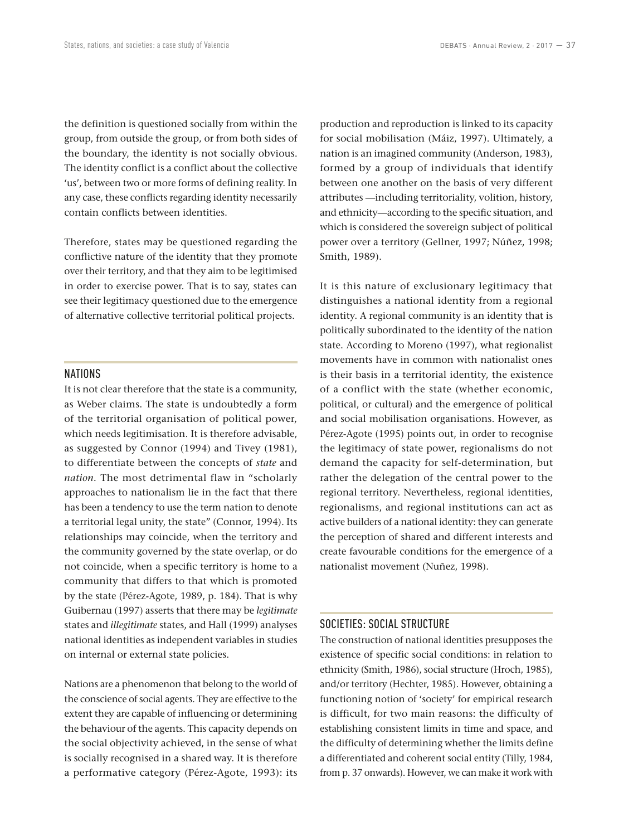the definition is questioned socially from within the group, from outside the group, or from both sides of the boundary, the identity is not socially obvious. The identity conflict is a conflict about the collective 'us', between two or more forms of defining reality. In any case, these conflicts regarding identity necessarily contain conflicts between identities.

Therefore, states may be questioned regarding the conflictive nature of the identity that they promote over their territory, and that they aim to be legitimised in order to exercise power. That is to say, states can see their legitimacy questioned due to the emergence of alternative collective territorial political projects.

## NATIONS

It is not clear therefore that the state is a community, as Weber claims. The state is undoubtedly a form of the territorial organisation of political power, which needs legitimisation. It is therefore advisable, as suggested by Connor (1994) and Tivey (1981), to differentiate between the concepts of *state* and *nation*. The most detrimental flaw in "scholarly approaches to nationalism lie in the fact that there has been a tendency to use the term nation to denote a territorial legal unity, the state" (Connor, 1994). Its relationships may coincide, when the territory and the community governed by the state overlap, or do not coincide, when a specific territory is home to a community that differs to that which is promoted by the state (Pérez‑Agote, 1989, p. 184). That is why Guibernau (1997) asserts that there may be *legitimate* states and *illegitimate* states, and Hall (1999) analyses national identities as independent variables in studies on internal or external state policies.

Nations are a phenomenon that belong to the world of the conscience of social agents. They are effective to the extent they are capable of influencing or determining the behaviour of the agents. This capacity depends on the social objectivity achieved, in the sense of what is socially recognised in a shared way. It is therefore a performative category (Pérez‑Agote, 1993): its production and reproduction is linked to its capacity for social mobilisation (Máiz, 1997). Ultimately, a nation is an imagined community (Anderson, 1983), formed by a group of individuals that identify between one another on the basis of very different attributes —including territoriality, volition, history, and ethnicity—according to the specific situation, and which is considered the sovereign subject of political power over a territory (Gellner, 1997; Núñez, 1998; Smith, 1989).

It is this nature of exclusionary legitimacy that distinguishes a national identity from a regional identity. A regional community is an identity that is politically subordinated to the identity of the nation state. According to Moreno (1997), what regionalist movements have in common with nationalist ones is their basis in a territorial identity, the existence of a conflict with the state (whether economic, political, or cultural) and the emergence of political and social mobilisation organisations. However, as Pérez‑Agote (1995) points out, in order to recognise the legitimacy of state power, regionalisms do not demand the capacity for self‑determination, but rather the delegation of the central power to the regional territory. Nevertheless, regional identities, regionalisms, and regional institutions can act as active builders of a national identity: they can generate the perception of shared and different interests and create favourable conditions for the emergence of a nationalist movement (Nuñez, 1998).

## SOCIETIES: SOCIAL STRUCTURE

The construction of national identities presupposes the existence of specific social conditions: in relation to ethnicity (Smith, 1986), social structure (Hroch, 1985), and/or territory (Hechter, 1985). However, obtaining a functioning notion of 'society' for empirical research is difficult, for two main reasons: the difficulty of establishing consistent limits in time and space, and the difficulty of determining whether the limits define a differentiated and coherent social entity (Tilly, 1984, from p. 37 onwards). However, we can make it work with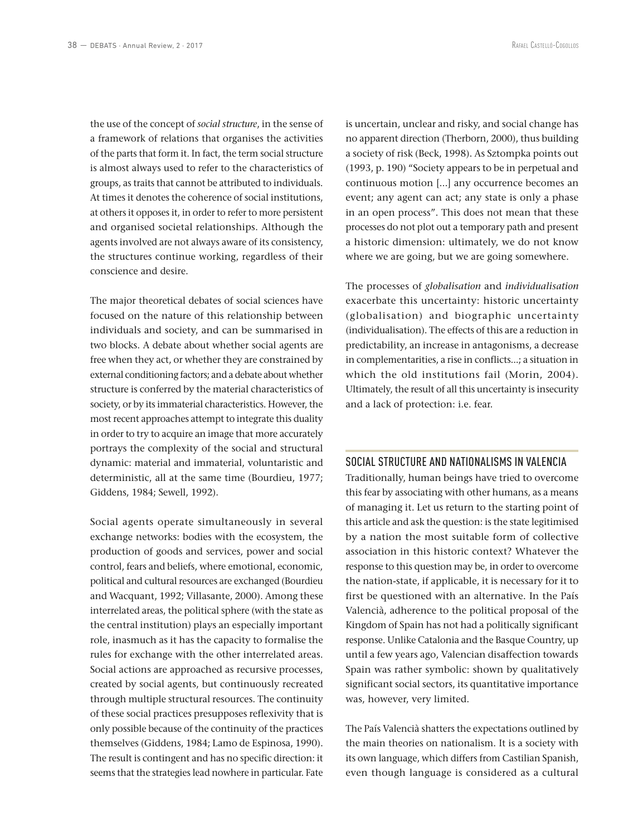the use of the concept of *social structure*, in the sense of a framework of relations that organises the activities of the parts that form it. In fact, the term social structure is almost always used to refer to the characteristics of groups, as traits that cannot be attributed to individuals. At times it denotes the coherence of social institutions, at others it opposes it, in order to refer to more persistent and organised societal relationships. Although the agents involved are not always aware of its consistency, the structures continue working, regardless of their conscience and desire.

The major theoretical debates of social sciences have focused on the nature of this relationship between individuals and society, and can be summarised in two blocks. A debate about whether social agents are free when they act, or whether they are constrained by external conditioning factors; and a debate about whether structure is conferred by the material characteristics of society, or by its immaterial characteristics. However, the most recent approaches attempt to integrate this duality in order to try to acquire an image that more accurately portrays the complexity of the social and structural dynamic: material and immaterial, voluntaristic and deterministic, all at the same time (Bourdieu, 1977; Giddens, 1984; Sewell, 1992).

Social agents operate simultaneously in several exchange networks: bodies with the ecosystem, the production of goods and services, power and social control, fears and beliefs, where emotional, economic, political and cultural resources are exchanged (Bourdieu and Wacquant, 1992; Villasante, 2000). Among these interrelated areas, the political sphere (with the state as the central institution) plays an especially important role, inasmuch as it has the capacity to formalise the rules for exchange with the other interrelated areas. Social actions are approached as recursive processes, created by social agents, but continuously recreated through multiple structural resources. The continuity of these social practices presupposes reflexivity that is only possible because of the continuity of the practices themselves (Giddens, 1984; Lamo de Espinosa, 1990). The result is contingent and has no specific direction: it seems that the strategies lead nowhere in particular. Fate

is uncertain, unclear and risky, and social change has no apparent direction (Therborn, 2000), thus building a society of risk (Beck, 1998). As Sztompka points out (1993, p. 190) "Society appears to be in perpetual and continuous motion [...] any occurrence becomes an event; any agent can act; any state is only a phase in an open process". This does not mean that these processes do not plot out a temporary path and present a historic dimension: ultimately, we do not know where we are going, but we are going somewhere.

The processes of *globalisation* and *individualisation* exacerbate this uncertainty: historic uncertainty (globalisation) and biographic uncertainty (individualisation). The effects of this are a reduction in predictability, an increase in antagonisms, a decrease in complementarities, a rise in conflicts...; a situation in which the old institutions fail (Morin, 2004). Ultimately, the result of all this uncertainty is insecurity and a lack of protection: i.e. fear.

## SOCIAL STRUCTURE AND NATIONALISMS IN VALENCIA

Traditionally, human beings have tried to overcome this fear by associating with other humans, as a means of managing it. Let us return to the starting point of this article and ask the question: is the state legitimised by a nation the most suitable form of collective association in this historic context? Whatever the response to this question may be, in order to overcome the nation‑state, if applicable, it is necessary for it to first be questioned with an alternative. In the País Valencià, adherence to the political proposal of the Kingdom of Spain has not had a politically significant response. Unlike Catalonia and the Basque Country, up until a few years ago, Valencian disaffection towards Spain was rather symbolic: shown by qualitatively significant social sectors, its quantitative importance was, however, very limited.

The País Valencià shatters the expectations outlined by the main theories on nationalism. It is a society with its own language, which differs from Castilian Spanish, even though language is considered as a cultural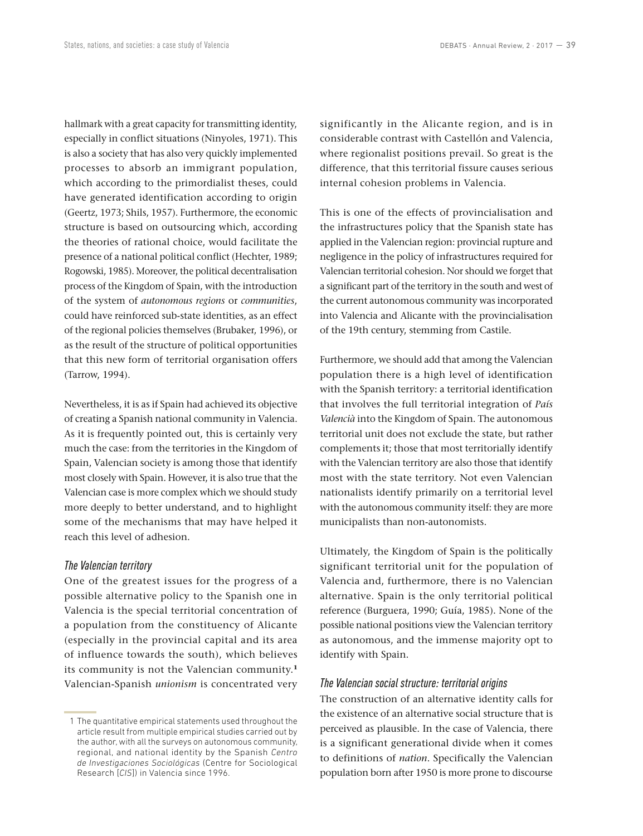hallmark with a great capacity for transmitting identity, especially in conflict situations (Ninyoles, 1971). This is also a society that has also very quickly implemented processes to absorb an immigrant population, which according to the primordialist theses, could have generated identification according to origin (Geertz, 1973; Shils, 1957). Furthermore, the economic structure is based on outsourcing which, according the theories of rational choice, would facilitate the presence of a national political conflict (Hechter, 1989; Rogowski, 1985). Moreover, the political decentralisation process of the Kingdom of Spain, with the introduction of the system of *autonomous regions* or *communities*, could have reinforced sub‑state identities, as an effect of the regional policies themselves (Brubaker, 1996), or as the result of the structure of political opportunities that this new form of territorial organisation offers (Tarrow, 1994).

Nevertheless, it is as if Spain had achieved its objective of creating a Spanish national community in Valencia. As it is frequently pointed out, this is certainly very much the case: from the territories in the Kingdom of Spain, Valencian society is among those that identify most closely with Spain. However, it is also true that the Valencian case is more complex which we should study more deeply to better understand, and to highlight some of the mechanisms that may have helped it reach this level of adhesion.

### *The Valencian territory*

One of the greatest issues for the progress of a possible alternative policy to the Spanish one in Valencia is the special territorial concentration of a population from the constituency of Alicante (especially in the provincial capital and its area of influence towards the south), which believes its community is not the Valencian community.**<sup>1</sup>** Valencian‑Spanish *unionism* is concentrated very significantly in the Alicante region, and is in considerable contrast with Castellón and Valencia, where regionalist positions prevail. So great is the difference, that this territorial fissure causes serious internal cohesion problems in Valencia.

This is one of the effects of provincialisation and the infrastructures policy that the Spanish state has applied in the Valencian region: provincial rupture and negligence in the policy of infrastructures required for Valencian territorial cohesion. Nor should we forget that a significant part of the territory in the south and west of the current autonomous community was incorporated into Valencia and Alicante with the provincialisation of the 19th century, stemming from Castile.

Furthermore, we should add that among the Valencian population there is a high level of identification with the Spanish territory: a territorial identification that involves the full territorial integration of *País Valencià* into the Kingdom of Spain. The autonomous territorial unit does not exclude the state, but rather complements it; those that most territorially identify with the Valencian territory are also those that identify most with the state territory. Not even Valencian nationalists identify primarily on a territorial level with the autonomous community itself: they are more municipalists than non‑autonomists.

Ultimately, the Kingdom of Spain is the politically significant territorial unit for the population of Valencia and, furthermore, there is no Valencian alternative. Spain is the only territorial political reference (Burguera, 1990; Guía, 1985). None of the possible national positions view the Valencian territory as autonomous, and the immense majority opt to identify with Spain.

## *The Valencian social structure: territorial origins*

The construction of an alternative identity calls for the existence of an alternative social structure that is perceived as plausible. In the case of Valencia, there is a significant generational divide when it comes to definitions of *nation*. Specifically the Valencian population born after 1950 is more prone to discourse

 <sup>1</sup> The quantitative empirical statements used throughout the article result from multiple empirical studies carried out by the author, with all the surveys on autonomous community, regional, and national identity by the Spanish *Centro de Investigaciones Sociológicas* (Centre for Sociological Research [*CIS*]) in Valencia since 1996.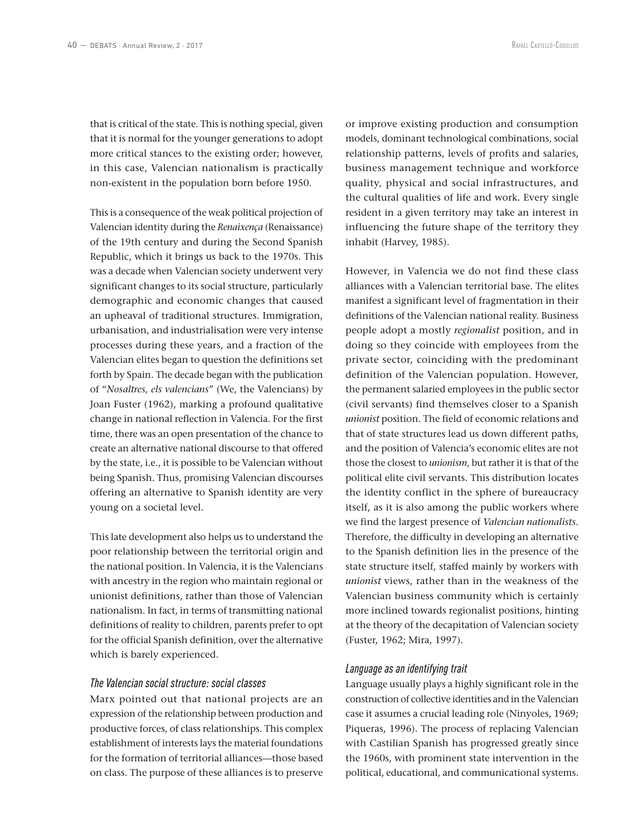that is critical of the state. This is nothing special, given that it is normal for the younger generations to adopt more critical stances to the existing order; however, in this case, Valencian nationalism is practically non‑existent in the population born before 1950.

This is a consequence of the weak political projection of Valencian identity during the *Renaixença* (Renaissance) of the 19th century and during the Second Spanish Republic, which it brings us back to the 1970s. This was a decade when Valencian society underwent very significant changes to its social structure, particularly demographic and economic changes that caused an upheaval of traditional structures. Immigration, urbanisation, and industrialisation were very intense processes during these years, and a fraction of the Valencian elites began to question the definitions set forth by Spain. The decade began with the publication of "*Nosaltres, els valencians*" (We, the Valencians) by Joan Fuster (1962), marking a profound qualitative change in national reflection in Valencia. For the first time, there was an open presentation of the chance to create an alternative national discourse to that offered by the state, i.e., it is possible to be Valencian without being Spanish. Thus, promising Valencian discourses offering an alternative to Spanish identity are very young on a societal level.

This late development also helps us to understand the poor relationship between the territorial origin and the national position. In Valencia, it is the Valencians with ancestry in the region who maintain regional or unionist definitions, rather than those of Valencian nationalism. In fact, in terms of transmitting national definitions of reality to children, parents prefer to opt for the official Spanish definition, over the alternative which is barely experienced.

## *The Valencian social structure: social classes*

Marx pointed out that national projects are an expression of the relationship between production and productive forces, of class relationships. This complex establishment of interests lays the material foundations for the formation of territorial alliances—those based on class. The purpose of these alliances is to preserve

or improve existing production and consumption models, dominant technological combinations, social relationship patterns, levels of profits and salaries, business management technique and workforce quality, physical and social infrastructures, and the cultural qualities of life and work. Every single resident in a given territory may take an interest in influencing the future shape of the territory they inhabit (Harvey, 1985).

However, in Valencia we do not find these class alliances with a Valencian territorial base. The elites manifest a significant level of fragmentation in their definitions of the Valencian national reality. Business people adopt a mostly *regionalist* position, and in doing so they coincide with employees from the private sector, coinciding with the predominant definition of the Valencian population. However, the permanent salaried employees in the public sector (civil servants) find themselves closer to a Spanish *unionist* position. The field of economic relations and that of state structures lead us down different paths, and the position of Valencia's economic elites are not those the closest to *unionism*, but rather it is that of the political elite civil servants. This distribution locates the identity conflict in the sphere of bureaucracy itself, as it is also among the public workers where we find the largest presence of *Valencian nationalists*. Therefore, the difficulty in developing an alternative to the Spanish definition lies in the presence of the state structure itself, staffed mainly by workers with *unionist* views, rather than in the weakness of the Valencian business community which is certainly more inclined towards regionalist positions, hinting at the theory of the decapitation of Valencian society (Fuster, 1962; Mira, 1997).

#### *Language as an identifying trait*

Language usually plays a highly significant role in the construction of collective identities and in the Valencian case it assumes a crucial leading role (Ninyoles, 1969; Piqueras, 1996). The process of replacing Valencian with Castilian Spanish has progressed greatly since the 1960s, with prominent state intervention in the political, educational, and communicational systems.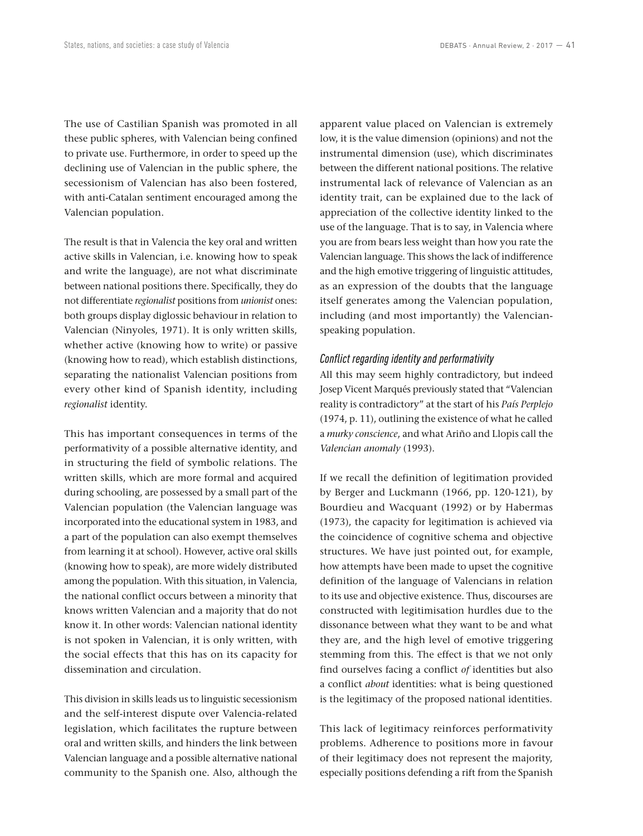The use of Castilian Spanish was promoted in all these public spheres, with Valencian being confined to private use. Furthermore, in order to speed up the declining use of Valencian in the public sphere, the secessionism of Valencian has also been fostered, with anti-Catalan sentiment encouraged among the Valencian population.

The result is that in Valencia the key oral and written active skills in Valencian, i.e. knowing how to speak and write the language), are not what discriminate between national positions there. Specifically, they do not differentiate *regionalist* positions from *unionist* ones: both groups display diglossic behaviour in relation to Valencian (Ninyoles, 1971). It is only written skills, whether active (knowing how to write) or passive (knowing how to read), which establish distinctions, separating the nationalist Valencian positions from every other kind of Spanish identity, including *regionalist* identity.

This has important consequences in terms of the performativity of a possible alternative identity, and in structuring the field of symbolic relations. The written skills, which are more formal and acquired during schooling, are possessed by a small part of the Valencian population (the Valencian language was incorporated into the educational system in 1983, and a part of the population can also exempt themselves from learning it at school). However, active oral skills (knowing how to speak), are more widely distributed among the population. With this situation, in Valencia, the national conflict occurs between a minority that knows written Valencian and a majority that do not know it. In other words: Valencian national identity is not spoken in Valencian, it is only written, with the social effects that this has on its capacity for dissemination and circulation.

This division in skills leads us to linguistic secessionism and the self-interest dispute over Valencia-related legislation, which facilitates the rupture between oral and written skills, and hinders the link between Valencian language and a possible alternative national community to the Spanish one. Also, although the apparent value placed on Valencian is extremely low, it is the value dimension (opinions) and not the instrumental dimension (use), which discriminates between the different national positions. The relative instrumental lack of relevance of Valencian as an identity trait, can be explained due to the lack of appreciation of the collective identity linked to the use of the language. That is to say, in Valencia where you are from bears less weight than how you rate the Valencian language. This shows the lack of indifference and the high emotive triggering of linguistic attitudes, as an expression of the doubts that the language itself generates among the Valencian population, including (and most importantly) the Valencianspeaking population.

#### *Conflict regarding identity and performativity*

All this may seem highly contradictory, but indeed Josep Vicent Marqués previously stated that "Valencian reality is contradictory" at the start of his *País Perplejo*  (1974, p. 11), outlining the existence of what he called a *murky conscience*, and what Ariño and Llopis call the *Valencian anomaly* (1993).

If we recall the definition of legitimation provided by Berger and Luckmann (1966, pp. 120‑121), by Bourdieu and Wacquant (1992) or by Habermas (1973), the capacity for legitimation is achieved via the coincidence of cognitive schema and objective structures. We have just pointed out, for example, how attempts have been made to upset the cognitive definition of the language of Valencians in relation to its use and objective existence. Thus, discourses are constructed with legitimisation hurdles due to the dissonance between what they want to be and what they are, and the high level of emotive triggering stemming from this. The effect is that we not only find ourselves facing a conflict *of* identities but also a conflict *about* identities: what is being questioned is the legitimacy of the proposed national identities.

This lack of legitimacy reinforces performativity problems. Adherence to positions more in favour of their legitimacy does not represent the majority, especially positions defending a rift from the Spanish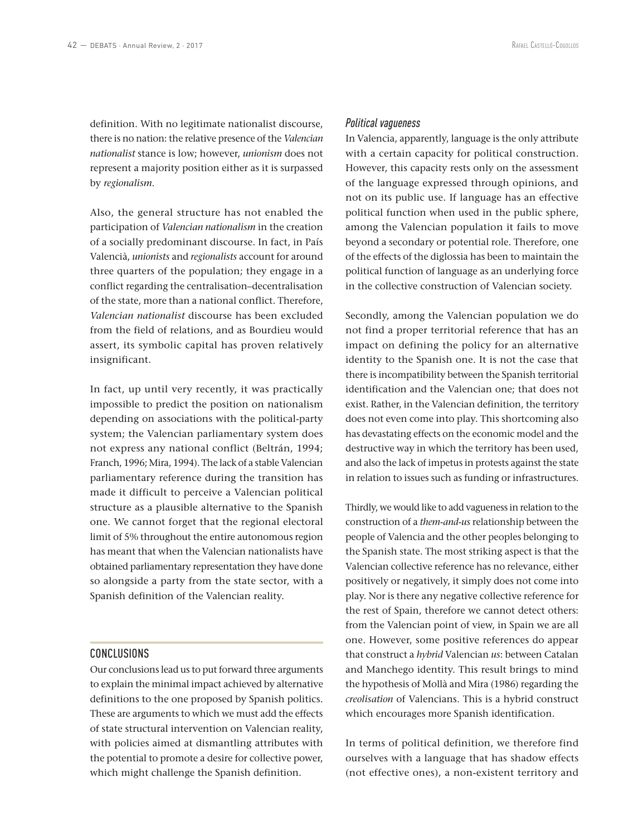definition. With no legitimate nationalist discourse, there is no nation: the relative presence of the *Valencian nationalist* stance is low; however, *unionism* does not represent a majority position either as it is surpassed by *regionalism*.

Also, the general structure has not enabled the participation of *Valencian nationalism* in the creation of a socially predominant discourse. In fact, in País Valencià, *unionists* and *regionalists* account for around three quarters of the population; they engage in a conflict regarding the centralisation–decentralisation of the state, more than a national conflict. Therefore, *Valencian nationalist* discourse has been excluded from the field of relations, and as Bourdieu would assert, its symbolic capital has proven relatively insignificant.

In fact, up until very recently, it was practically impossible to predict the position on nationalism depending on associations with the political-party system; the Valencian parliamentary system does not express any national conflict (Beltrán, 1994; Franch, 1996; Mira, 1994). The lack of a stable Valencian parliamentary reference during the transition has made it difficult to perceive a Valencian political structure as a plausible alternative to the Spanish one. We cannot forget that the regional electoral limit of 5% throughout the entire autonomous region has meant that when the Valencian nationalists have obtained parliamentary representation they have done so alongside a party from the state sector, with a Spanish definition of the Valencian reality.

# CONCLUSIONS

Our conclusions lead us to put forward three arguments to explain the minimal impact achieved by alternative definitions to the one proposed by Spanish politics. These are arguments to which we must add the effects of state structural intervention on Valencian reality, with policies aimed at dismantling attributes with the potential to promote a desire for collective power, which might challenge the Spanish definition.

#### *Political vagueness*

In Valencia, apparently, language is the only attribute with a certain capacity for political construction. However, this capacity rests only on the assessment of the language expressed through opinions, and not on its public use. If language has an effective political function when used in the public sphere, among the Valencian population it fails to move beyond a secondary or potential role. Therefore, one of the effects of the diglossia has been to maintain the political function of language as an underlying force in the collective construction of Valencian society.

Secondly, among the Valencian population we do not find a proper territorial reference that has an impact on defining the policy for an alternative identity to the Spanish one. It is not the case that there is incompatibility between the Spanish territorial identification and the Valencian one; that does not exist. Rather, in the Valencian definition, the territory does not even come into play. This shortcoming also has devastating effects on the economic model and the destructive way in which the territory has been used, and also the lack of impetus in protests against the state in relation to issues such as funding or infrastructures.

Thirdly, we would like to add vagueness in relation to the construction of a *them‑and‑us* relationship between the people of Valencia and the other peoples belonging to the Spanish state. The most striking aspect is that the Valencian collective reference has no relevance, either positively or negatively, it simply does not come into play. Nor is there any negative collective reference for the rest of Spain, therefore we cannot detect others: from the Valencian point of view, in Spain we are all one. However, some positive references do appear that construct a *hybrid* Valencian *us*: between Catalan and Manchego identity. This result brings to mind the hypothesis of Mollà and Mira (1986) regarding the *creolisation* of Valencians. This is a hybrid construct which encourages more Spanish identification.

In terms of political definition, we therefore find ourselves with a language that has shadow effects (not effective ones), a non‑existent territory and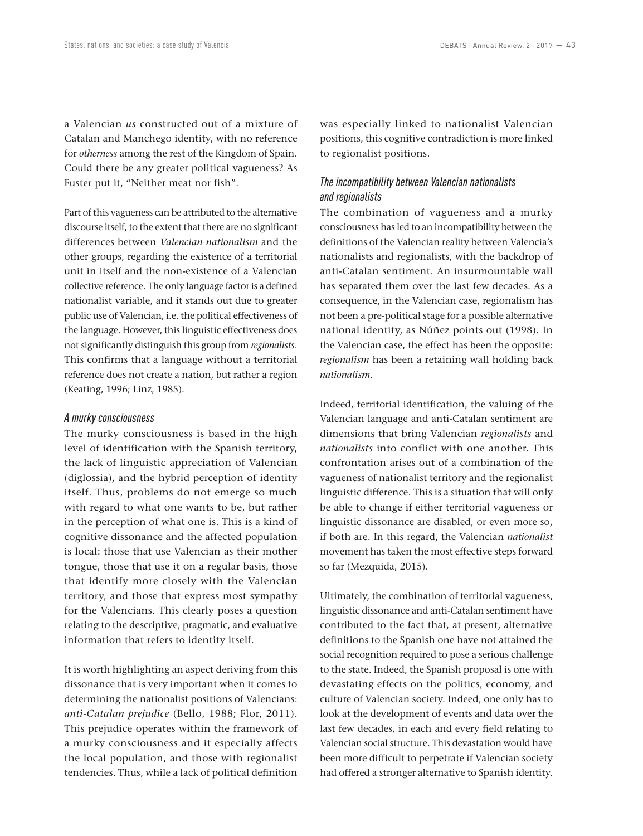a Valencian *us* constructed out of a mixture of Catalan and Manchego identity, with no reference for *otherness* among the rest of the Kingdom of Spain. Could there be any greater political vagueness? As Fuster put it, "Neither meat nor fish".

Part of this vagueness can be attributed to the alternative discourse itself, to the extent that there are no significant differences between *Valencian nationalism* and the other groups, regarding the existence of a territorial unit in itself and the non‑existence of a Valencian collective reference. The only language factor is a defined nationalist variable, and it stands out due to greater public use of Valencian, i.e. the political effectiveness of the language. However, this linguistic effectiveness does not significantly distinguish this group from *regionalists*. This confirms that a language without a territorial reference does not create a nation, but rather a region (Keating, 1996; Linz, 1985).

#### *A murky consciousness*

The murky consciousness is based in the high level of identification with the Spanish territory, the lack of linguistic appreciation of Valencian (diglossia), and the hybrid perception of identity itself. Thus, problems do not emerge so much with regard to what one wants to be, but rather in the perception of what one is. This is a kind of cognitive dissonance and the affected population is local: those that use Valencian as their mother tongue, those that use it on a regular basis, those that identify more closely with the Valencian territory, and those that express most sympathy for the Valencians. This clearly poses a question relating to the descriptive, pragmatic, and evaluative information that refers to identity itself.

It is worth highlighting an aspect deriving from this dissonance that is very important when it comes to determining the nationalist positions of Valencians: *anti‑Catalan prejudice* (Bello, 1988; Flor, 2011). This prejudice operates within the framework of a murky consciousness and it especially affects the local population, and those with regionalist tendencies. Thus, while a lack of political definition was especially linked to nationalist Valencian positions, this cognitive contradiction is more linked to regionalist positions.

# *The incompatibility between Valencian nationalists and regionalists*

The combination of vagueness and a murky consciousness has led to an incompatibility between the definitions of the Valencian reality between Valencia's nationalists and regionalists, with the backdrop of anti-Catalan sentiment. An insurmountable wall has separated them over the last few decades. As a consequence, in the Valencian case, regionalism has not been a pre‑political stage for a possible alternative national identity, as Núñez points out (1998). In the Valencian case, the effect has been the opposite: *regionalism* has been a retaining wall holding back *nationalism*.

Indeed, territorial identification, the valuing of the Valencian language and anti‑Catalan sentiment are dimensions that bring Valencian *regionalists* and *nationalists* into conflict with one another. This confrontation arises out of a combination of the vagueness of nationalist territory and the regionalist linguistic difference. This is a situation that will only be able to change if either territorial vagueness or linguistic dissonance are disabled, or even more so, if both are. In this regard, the Valencian *nationalist* movement has taken the most effective steps forward so far (Mezquida, 2015).

Ultimately, the combination of territorial vagueness, linguistic dissonance and anti‑Catalan sentiment have contributed to the fact that, at present, alternative definitions to the Spanish one have not attained the social recognition required to pose a serious challenge to the state. Indeed, the Spanish proposal is one with devastating effects on the politics, economy, and culture of Valencian society. Indeed, one only has to look at the development of events and data over the last few decades, in each and every field relating to Valencian social structure. This devastation would have been more difficult to perpetrate if Valencian society had offered a stronger alternative to Spanish identity.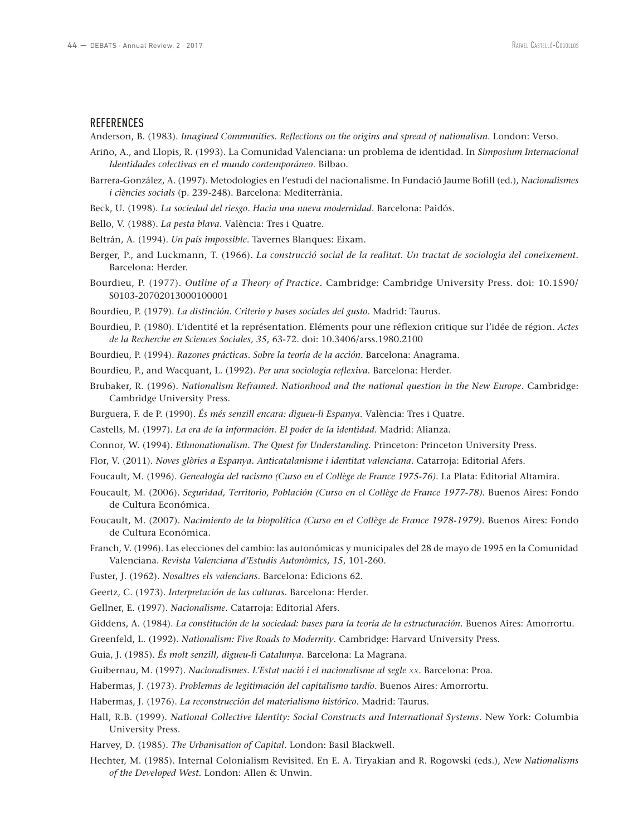#### **REFERENCES**

Anderson, B. (1983). *Imagined Communities. Reflections on the origins and spread of nationalism*. London: Verso.

- Ariño, A., and Llopis, R. (1993). La Comunidad Valenciana: un problema de identidad. In *Simposium Internacional Identidades colectivas en el mundo contemporáneo*. Bilbao.
- Barrera‑González, A. (1997). Metodologies en l'estudi del nacionalisme. In Fundació Jaume Bofill (ed.), *Nacionalismes i ciències socials* (p. 239‑248). Barcelona: Mediterrània.
- Beck, U. (1998). *La sociedad del riesgo. Hacia una nueva modernidad*. Barcelona: Paidós.
- Bello, V. (1988). *La pesta blava*. València: Tres i Quatre.
- Beltrán, A. (1994). *Un país impossible*. Tavernes Blanques: Eixam.
- Berger, P., and Luckmann, T. (1966). *La construcció social de la realitat. Un tractat de sociologia del coneixement.* Barcelona: Herder.
- Bourdieu, P. (1977). *Outline of a Theory of Practice*. Cambridge: Cambridge University Press. doi: 10.1590/ S0103‑20702013000100001
- Bourdieu, P. (1979). *La distinción. Criterio y bases sociales del gusto*. Madrid: Taurus.
- Bourdieu, P. (1980). L'identité et la représentation. Eléments pour une réflexion critique sur l'idée de région. *Actes de la Recherche en Sciences Sociales, 35*, 63‑72. doi: 10.3406/arss.1980.2100

Bourdieu, P. (1994). *Razones prácticas. Sobre la teoría de la acción*. Barcelona: Anagrama.

Bourdieu, P., and Wacquant, L. (1992). *Per una sociologia reflexiva*. Barcelona: Herder.

- Brubaker, R. (1996). *Nationalism Reframed. Nationhood and the national question in the New Europe*. Cambridge: Cambridge University Press.
- Burguera, F. de P. (1990). *És més senzill encara: digueu‑li Espanya*. València: Tres i Quatre.
- Castells, M. (1997). *La era de la información. El poder de la identidad*. Madrid: Alianza.
- Connor, W. (1994). *Ethnonationalism. The Quest for Understanding*. Princeton: Princeton University Press.
- Flor, V. (2011). *Noves glòries a Espanya. Anticatalanisme i identitat valenciana*. Catarroja: Editorial Afers.
- Foucault, M. (1996). *Genealogía del racismo (Curso en el Collège de France 1975‑76)*. La Plata: Editorial Altamira.
- Foucault, M. (2006). *Seguridad, Territorio, Población (Curso en el Collège de France 1977‑78)*. Buenos Aires: Fondo de Cultura Económica.
- Foucault, M. (2007). *Nacimiento de la biopolítica (Curso en el Collège de France 1978‑1979)*. Buenos Aires: Fondo de Cultura Económica.
- Franch, V. (1996). Las elecciones del cambio: las autonómicas y municipales del 28 de mayo de 1995 en la Comunidad Valenciana. *Revista Valenciana d'Estudis Autonòmics, 15*, 101‑260.
- Fuster, J. (1962). *Nosaltres els valencians*. Barcelona: Edicions 62.

Geertz, C. (1973). *Interpretación de las culturas*. Barcelona: Herder.

- Gellner, E. (1997). *Nacionalisme*. Catarroja: Editorial Afers.
- Giddens, A. (1984). *La constitución de la sociedad: bases para la teoría de la estructuración*. Buenos Aires: Amorrortu.
- Greenfeld, L. (1992). *Nationalism: Five Roads to Modernity*. Cambridge: Harvard University Press.
- Guia, J. (1985). *És molt senzill, digueu‑li Catalunya*. Barcelona: La Magrana.
- Guibernau, M. (1997). *Nacionalismes. L'Estat nació i el nacionalisme al segle xx*. Barcelona: Proa.
- Habermas, J. (1973). *Problemas de legitimación del capitalismo tardío*. Buenos Aires: Amorrortu.
- Habermas, J. (1976). *La reconstrucción del materialismo histórico*. Madrid: Taurus.
- Hall, R.B. (1999). *National Collective Identity: Social Constructs and International Systems*. New York: Columbia University Press.
- Harvey, D. (1985). *The Urbanisation of Capital*. London: Basil Blackwell.
- Hechter, M. (1985). Internal Colonialism Revisited. En E. A. Tiryakian and R. Rogowski (eds.), *New Nationalisms of the Developed West*. London: Allen & Unwin.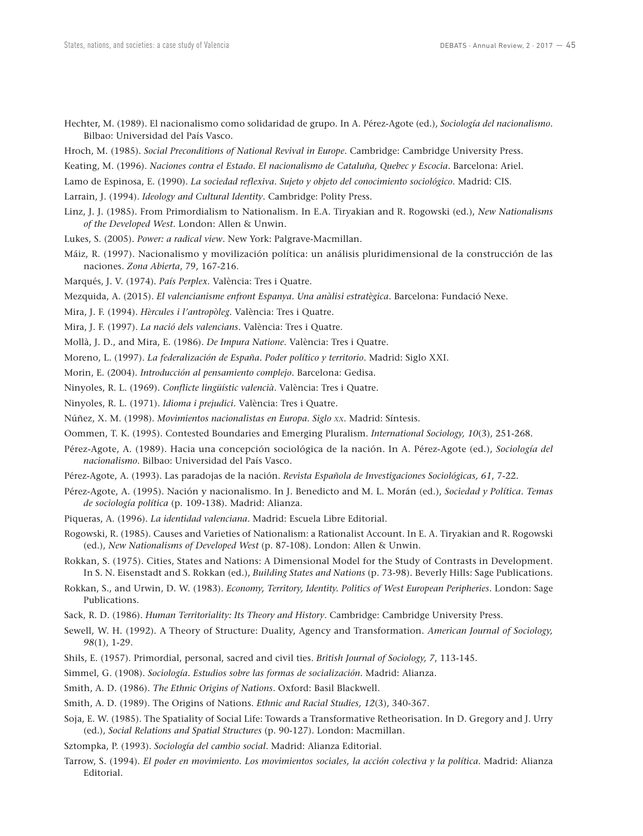- Hechter, M. (1989). El nacionalismo como solidaridad de grupo. In A. Pérez‑Agote (ed.), *Sociología del nacionalismo*. Bilbao: Universidad del País Vasco.
- Hroch, M. (1985). *Social Preconditions of National Revival in Europe*. Cambridge: Cambridge University Press.
- Keating, M. (1996). *Naciones contra el Estado. El nacionalismo de Cataluña, Quebec y Escocia*. Barcelona: Ariel.
- Lamo de Espinosa, E. (1990). *La sociedad reflexiva. Sujeto y objeto del conocimiento sociológico*. Madrid: CIS.
- Larrain, J. (1994). *Ideology and Cultural Identity*. Cambridge: Polity Press.
- Linz, J. J. (1985). From Primordialism to Nationalism. In E.A. Tiryakian and R. Rogowski (ed.), *New Nationalisms of the Developed West*. London: Allen & Unwin.
- Lukes, S. (2005). *Power: a radical view*. New York: Palgrave-Macmillan.
- Máiz, R. (1997). Nacionalismo y movilización política: un análisis pluridimensional de la construcción de las naciones. *Zona Abierta*, 79, 167‑216.
- Marqués, J. V. (1974). *País Perplex*. València: Tres i Quatre.
- Mezquida, A. (2015). *El valencianisme enfront Espanya. Una anàlisi estratègica*. Barcelona: Fundació Nexe.
- Mira, J. F. (1994). *Hèrcules i l'antropòleg*. València: Tres i Quatre.
- Mira, J. F. (1997). *La nació dels valencians*. València: Tres i Quatre.
- Mollà, J. D., and Mira, E. (1986). *De Impura Natione*. València: Tres i Quatre.
- Moreno, L. (1997). *La federalización de España. Poder político y territorio*. Madrid: Siglo XXI.
- Morin, E. (2004). *Introducción al pensamiento complejo*. Barcelona: Gedisa.
- Ninyoles, R. L. (1969). *Conflicte lingüístic valencià*. València: Tres i Quatre.
- Ninyoles, R. L. (1971). *Idioma i prejudici*. València: Tres i Quatre.
- Núñez, X. M. (1998). *Movimientos nacionalistas en Europa*. *Siglo xx*. Madrid: Síntesis.
- Oommen, T. K. (1995). Contested Boundaries and Emerging Pluralism. *International Sociology, 10*(3), 251‑268.
- Pérez‑Agote, A. (1989). Hacia una concepción sociológica de la nación. In A. Pérez‑Agote (ed.), *Sociología del nacionalismo*. Bilbao: Universidad del País Vasco.
- Pérez‑Agote, A. (1993). Las paradojas de la nación. *Revista Española de Investigaciones Sociológicas, 61*, 7‑22.
- Pérez‑Agote, A. (1995). Nación y nacionalismo. In J. Benedicto and M. L. Morán (ed.), *Sociedad y Política. Temas de sociología política* (p. 109‑138). Madrid: Alianza.
- Piqueras, A. (1996). *La identidad valenciana*. Madrid: Escuela Libre Editorial.
- Rogowski, R. (1985). Causes and Varieties of Nationalism: a Rationalist Account. In E. A. Tiryakian and R. Rogowski (ed.), *New Nationalisms of Developed West* (p. 87‑108). London: Allen & Unwin.
- Rokkan, S. (1975). Cities, States and Nations: A Dimensional Model for the Study of Contrasts in Development. In S. N. Eisenstadt and S. Rokkan (ed.), *Building States and Nations* (p. 73‑98). Beverly Hills: Sage Publications.
- Rokkan, S., and Urwin, D. W. (1983). *Economy, Territory, Identity. Politics of West European Peripheries*. London: Sage Publications.
- Sack, R. D. (1986). *Human Territoriality: Its Theory and History*. Cambridge: Cambridge University Press.
- Sewell, W. H. (1992). A Theory of Structure: Duality, Agency and Transformation. *American Journal of Sociology, 98*(1), 1‑29.
- Shils, E. (1957). Primordial, personal, sacred and civil ties. *British Journal of Sociology*, 7, 113-145.
- Simmel, G. (1908). *Sociología. Estudios sobre las formas de socialización*. Madrid: Alianza.
- Smith, A. D. (1986). *The Ethnic Origins of Nations*. Oxford: Basil Blackwell.
- Smith, A. D. (1989). The Origins of Nations. *Ethnic and Racial Studies, 12*(3), 340-367.
- Soja, E. W. (1985). The Spatiality of Social Life: Towards a Transformative Retheorisation. In D. Gregory and J. Urry (ed.), *Social Relations and Spatial Structures* (p. 90‑127). London: Macmillan.
- Sztompka, P. (1993). *Sociología del cambio social*. Madrid: Alianza Editorial.
- Tarrow, S. (1994). *El poder en movimiento. Los movimientos sociales, la acción colectiva y la política*. Madrid: Alianza Editorial.